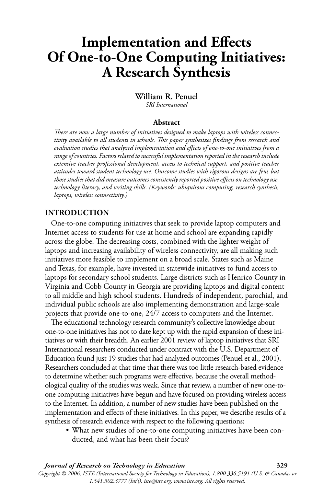# **Implementation and Effects Of One-to-One Computing Initiatives: A Research Synthesis**

## **William R. Penuel**

*SRI International*

#### **Abstract**

*There are now a large number of initiatives designed to make laptops with wireless connectivity available to all students in schools. This paper synthesizes findings from research and evaluation studies that analyzed implementation and effects of one-to-one initiatives from a range of countries. Factors related to successful implementation reported in the research include extensive teacher professional development, access to technical support, and positive teacher attitudes toward student technology use. Outcome studies with rigorous designs are few, but those studies that did measure outcomes consistently reported positive effects on technology use, technology literacy, and writing skills. (Keywords: ubiquitous computing, research synthesis, laptops, wireless connectivity.)*

#### **Introduction**

One-to-one computing initiatives that seek to provide laptop computers and Internet access to students for use at home and school are expanding rapidly across the globe. The decreasing costs, combined with the lighter weight of laptops and increasing availability of wireless connectivity, are all making such initiatives more feasible to implement on a broad scale. States such as Maine and Texas, for example, have invested in statewide initiatives to fund access to laptops for secondary school students. Large districts such as Henrico County in Virginia and Cobb County in Georgia are providing laptops and digital content to all middle and high school students. Hundreds of independent, parochial, and individual public schools are also implementing demonstration and large-scale projects that provide one-to-one, 24/7 access to computers and the Internet.

The educational technology research community's collective knowledge about one-to-one initiatives has not to date kept up with the rapid expansion of these initiatives or with their breadth. An earlier 2001 review of laptop initiatives that SRI International researchers conducted under contract with the U.S. Department of Education found just 19 studies that had analyzed outcomes (Penuel et al., 2001). Researchers concluded at that time that there was too little research-based evidence to determine whether such programs were effective, because the overall methodological quality of the studies was weak. Since that review, a number of new one-toone computing initiatives have begun and have focused on providing wireless access to the Internet. In addition, a number of new studies have been published on the implementation and effects of these initiatives. In this paper, we describe results of a synthesis of research evidence with respect to the following questions:

• What new studies of one-to-one computing initiatives have been conducted, and what has been their focus?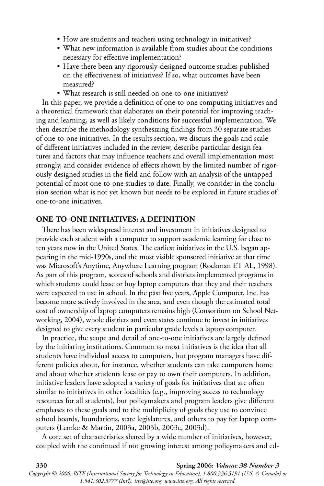- How are students and teachers using technology in initiatives?
- What new information is available from studies about the conditions necessary for effective implementation?
- Have there been any rigorously-designed outcome studies published on the effectiveness of initiatives? If so, what outcomes have been measured?
- What research is still needed on one-to-one initiatives?

In this paper, we provide a definition of one-to-one computing initiatives and a theoretical framework that elaborates on their potential for improving teaching and learning, as well as likely conditions for successful implementation. We then describe the methodology synthesizing findings from 30 separate studies of one-to-one initiatives. In the results section, we discuss the goals and scale of different initiatives included in the review, describe particular design features and factors that may influence teachers and overall implementation most strongly, and consider evidence of effects shown by the limited number of rigorously designed studies in the field and follow with an analysis of the untapped potential of most one-to-one studies to date. Finally, we consider in the conclusion section what is not yet known but needs to be explored in future studies of one-to-one initiatives.

#### **One-to-One Initiatives: A Definition**

There has been widespread interest and investment in initiatives designed to provide each student with a computer to support academic learning for close to ten years now in the United States. The earliest initiatives in the U.S. began appearing in the mid-1990s, and the most visible sponsored initiative at that time was Microsoft's Anytime, Anywhere Learning program (Rockman ET AL, 1998). As part of this program, scores of schools and districts implemented programs in which students could lease or buy laptop computers that they and their teachers were expected to use in school. In the past five years, Apple Computer, Inc. has become more actively involved in the area, and even though the estimated total cost of ownership of laptop computers remains high (Consortium on School Networking, 2004), whole districts and even states continue to invest in initiatives designed to give every student in particular grade levels a laptop computer.

In practice, the scope and detail of one-to-one initiatives are largely defined by the initiating institutions. Common to most initiatives is the idea that all students have individual access to computers, but program managers have different policies about, for instance, whether students can take computers home and about whether students lease or pay to own their computers. In addition, initiative leaders have adopted a variety of goals for initiatives that are often similar to initiatives in other localities (e.g., improving access to technology resources for all students), but policymakers and program leaders give different emphases to these goals and to the multiplicity of goals they use to convince school boards, foundations, state legislatures, and others to pay for laptop computers (Lemke & Martin, 2003a, 2003b, 2003c, 2003d).

A core set of characteristics shared by a wide number of initiatives, however, coupled with the continued if not growing interest among policymakers and ed-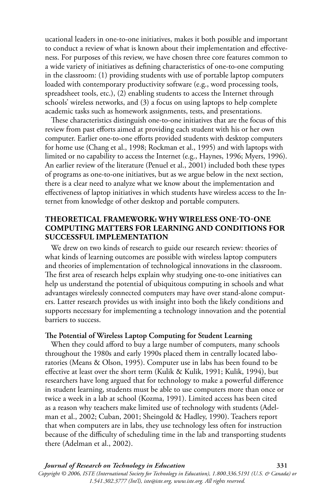ucational leaders in one-to-one initiatives, makes it both possible and important to conduct a review of what is known about their implementation and effectiveness. For purposes of this review, we have chosen three core features common to a wide variety of initiatives as defining characteristics of one-to-one computing in the classroom: (1) providing students with use of portable laptop computers loaded with contemporary productivity software (e.g., word processing tools, spreadsheet tools, etc.), (2) enabling students to access the Internet through schools' wireless networks, and (3) a focus on using laptops to help complete academic tasks such as homework assignments, tests, and presentations.

These characteristics distinguish one-to-one initiatives that are the focus of this review from past efforts aimed at providing each student with his or her own computer. Earlier one-to-one efforts provided students with desktop computers for home use (Chang et al., 1998; Rockman et al., 1995) and with laptops with limited or no capability to access the Internet (e.g., Haynes, 1996; Myers, 1996). An earlier review of the literature (Penuel et al., 2001) included both these types of programs as one-to-one initiatives, but as we argue below in the next section, there is a clear need to analyze what we know about the implementation and effectiveness of laptop initiatives in which students have wireless access to the Internet from knowledge of other desktop and portable computers.

# **Theoretical Framework: Why Wireless One-to-One Computing Matters for Learning and Conditions for Successful Implementation**

We drew on two kinds of research to guide our research review: theories of what kinds of learning outcomes are possible with wireless laptop computers and theories of implementation of technological innovations in the classroom. The first area of research helps explain why studying one-to-one initiatives can help us understand the potential of ubiquitous computing in schools and what advantages wirelessly connected computers may have over stand-alone computers. Latter research provides us with insight into both the likely conditions and supports necessary for implementing a technology innovation and the potential barriers to success.

## **The Potential of Wireless Laptop Computing for Student Learning**

When they could afford to buy a large number of computers, many schools throughout the 1980s and early 1990s placed them in centrally located laboratories (Means & Olson, 1995). Computer use in labs has been found to be effective at least over the short term (Kulik & Kulik, 1991; Kulik, 1994), but researchers have long argued that for technology to make a powerful difference in student learning, students must be able to use computers more than once or twice a week in a lab at school (Kozma, 1991). Limited access has been cited as a reason why teachers make limited use of technology with students (Adelman et al., 2002; Cuban, 2001; Sheingold & Hadley, 1990). Teachers report that when computers are in labs, they use technology less often for instruction because of the difficulty of scheduling time in the lab and transporting students there (Adelman et al., 2002).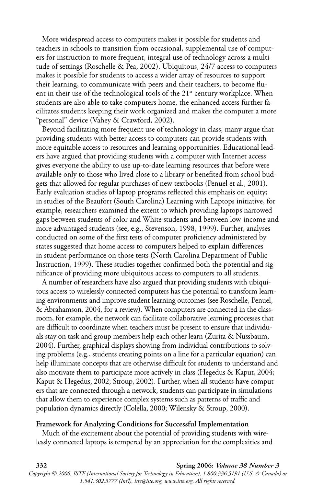More widespread access to computers makes it possible for students and teachers in schools to transition from occasional, supplemental use of computers for instruction to more frequent, integral use of technology across a multitude of settings (Roschelle & Pea, 2002). Ubiquitous, 24/7 access to computers makes it possible for students to access a wider array of resources to support their learning, to communicate with peers and their teachers, to become fluent in their use of the technological tools of the  $21<sup>st</sup>$  century workplace. When students are also able to take computers home, the enhanced access further facilitates students keeping their work organized and makes the computer a more "personal" device (Vahey & Crawford, 2002).

Beyond facilitating more frequent use of technology in class, many argue that providing students with better access to computers can provide students with more equitable access to resources and learning opportunities. Educational leaders have argued that providing students with a computer with Internet access gives everyone the ability to use up-to-date learning resources that before were available only to those who lived close to a library or benefited from school budgets that allowed for regular purchases of new textbooks (Penuel et al., 2001). Early evaluation studies of laptop programs reflected this emphasis on equity; in studies of the Beaufort (South Carolina) Learning with Laptops initiative, for example, researchers examined the extent to which providing laptops narrowed gaps between students of color and White students and between low-income and more advantaged students (see, e.g., Stevenson, 1998, 1999). Further, analyses conducted on some of the first tests of computer proficiency administered by states suggested that home access to computers helped to explain differences in student performance on those tests (North Carolina Department of Public Instruction, 1999). These studies together confirmed both the potential and significance of providing more ubiquitous access to computers to all students.

A number of researchers have also argued that providing students with ubiquitous access to wirelessly connected computers has the potential to transform learning environments and improve student learning outcomes (see Roschelle, Penuel, & Abrahamson, 2004, for a review). When computers are connected in the classroom, for example, the network can facilitate collaborative learning processes that are difficult to coordinate when teachers must be present to ensure that individuals stay on task and group members help each other learn (Zurita & Nussbaum, 2004). Further, graphical displays showing from individual contributions to solving problems (e.g., students creating points on a line for a particular equation) can help illuminate concepts that are otherwise difficult for students to understand and also motivate them to participate more actively in class (Hegedus & Kaput, 2004; Kaput & Hegedus, 2002; Stroup, 2002). Further, when all students have computers that are connected through a network, students can participate in simulations that allow them to experience complex systems such as patterns of traffic and population dynamics directly (Colella, 2000; Wilensky & Stroup, 2000).

#### **Framework for Analyzing Conditions for Successful Implementation**

Much of the excitement about the potential of providing students with wirelessly connected laptops is tempered by an appreciation for the complexities and

**332 Spring 2006:** *Volume 38 Number 3 Copyright © 2006, ISTE (International Society for Technology in Education), 1.800.336.5191 (U.S. & Canada) or 1.541.302.3777 (Int'l), iste@iste.org, www.iste.org. All rights reserved.*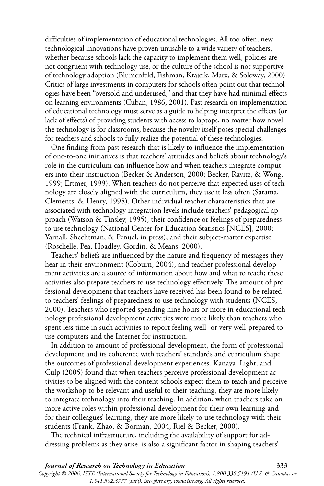difficulties of implementation of educational technologies. All too often, new technological innovations have proven unusable to a wide variety of teachers, whether because schools lack the capacity to implement them well, policies are not congruent with technology use, or the culture of the school is not supportive of technology adoption (Blumenfeld, Fishman, Krajcik, Marx, & Soloway, 2000). Critics of large investments in computers for schools often point out that technologies have been "oversold and underused," and that they have had minimal effects on learning environments (Cuban, 1986, 2001). Past research on implementation of educational technology must serve as a guide to helping interpret the effects (or lack of effects) of providing students with access to laptops, no matter how novel the technology is for classrooms, because the novelty itself poses special challenges for teachers and schools to fully realize the potential of these technologies.

One finding from past research that is likely to influence the implementation of one-to-one initiatives is that teachers' attitudes and beliefs about technology's role in the curriculum can influence how and when teachers integrate computers into their instruction (Becker & Anderson, 2000; Becker, Ravitz, & Wong, 1999; Ertmer, 1999). When teachers do not perceive that expected uses of technology are closely aligned with the curriculum, they use it less often (Sarama, Clements, & Henry, 1998). Other individual teacher characteristics that are associated with technology integration levels include teachers' pedagogical approach (Watson & Tinsley, 1995), their confidence or feelings of preparedness to use technology (National Center for Education Statistics [NCES], 2000; Yarnall, Shechtman, & Penuel, in press), and their subject-matter expertise (Roschelle, Pea, Hoadley, Gordin, & Means, 2000).

Teachers' beliefs are influenced by the nature and frequency of messages they hear in their environment (Coburn, 2004), and teacher professional development activities are a source of information about how and what to teach; these activities also prepare teachers to use technology effectively. The amount of professional development that teachers have received has been found to be related to teachers' feelings of preparedness to use technology with students (NCES, 2000). Teachers who reported spending nine hours or more in educational technology professional development activities were more likely than teachers who spent less time in such activities to report feeling well- or very well-prepared to use computers and the Internet for instruction.

In addition to amount of professional development, the form of professional development and its coherence with teachers' standards and curriculum shape the outcomes of professional development experiences. Kanaya, Light, and Culp (2005) found that when teachers perceive professional development activities to be aligned with the content schools expect them to teach and perceive the workshop to be relevant and useful to their teaching, they are more likely to integrate technology into their teaching. In addition, when teachers take on more active roles within professional development for their own learning and for their colleagues' learning, they are more likely to use technology with their students (Frank, Zhao, & Borman, 2004; Riel & Becker, 2000).

The technical infrastructure, including the availability of support for addressing problems as they arise, is also a significant factor in shaping teachers'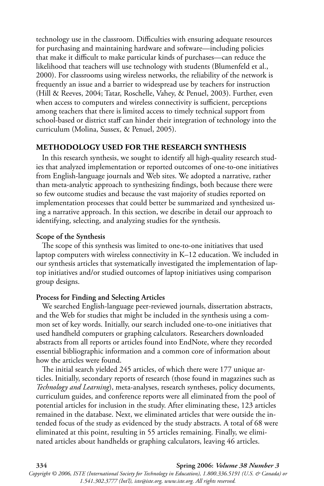technology use in the classroom. Difficulties with ensuring adequate resources for purchasing and maintaining hardware and software—including policies that make it difficult to make particular kinds of purchases—can reduce the likelihood that teachers will use technology with students (Blumenfeld et al., 2000). For classrooms using wireless networks, the reliability of the network is frequently an issue and a barrier to widespread use by teachers for instruction (Hill & Reeves, 2004; Tatar, Roschelle, Vahey, & Penuel, 2003). Further, even when access to computers and wireless connectivity is sufficient, perceptions among teachers that there is limited access to timely technical support from school-based or district staff can hinder their integration of technology into the curriculum (Molina, Sussex, & Penuel, 2005).

#### **Methodology Used for the Research Synthesis**

In this research synthesis, we sought to identify all high-quality research studies that analyzed implementation or reported outcomes of one-to-one initiatives from English-language journals and Web sites. We adopted a narrative, rather than meta-analytic approach to synthesizing findings, both because there were so few outcome studies and because the vast majority of studies reported on implementation processes that could better be summarized and synthesized using a narrative approach. In this section, we describe in detail our approach to identifying, selecting, and analyzing studies for the synthesis.

#### **Scope of the Synthesis**

The scope of this synthesis was limited to one-to-one initiatives that used laptop computers with wireless connectivity in K–12 education. We included in our synthesis articles that systematically investigated the implementation of laptop initiatives and/or studied outcomes of laptop initiatives using comparison group designs.

#### **Process for Finding and Selecting Articles**

We searched English-language peer-reviewed journals, dissertation abstracts, and the Web for studies that might be included in the synthesis using a common set of key words. Initially, our search included one-to-one initiatives that used handheld computers or graphing calculators. Researchers downloaded abstracts from all reports or articles found into EndNote, where they recorded essential bibliographic information and a common core of information about how the articles were found.

The initial search yielded 245 articles, of which there were 177 unique articles. Initially, secondary reports of research (those found in magazines such as *Technology and Learning*), meta-analyses, research syntheses, policy documents, curriculum guides, and conference reports were all eliminated from the pool of potential articles for inclusion in the study. After eliminating these, 123 articles remained in the database. Next, we eliminated articles that were outside the intended focus of the study as evidenced by the study abstracts. A total of 68 were eliminated at this point, resulting in 55 articles remaining. Finally, we eliminated articles about handhelds or graphing calculators, leaving 46 articles.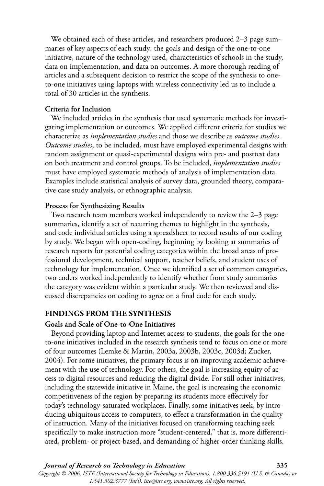We obtained each of these articles, and researchers produced 2–3 page summaries of key aspects of each study: the goals and design of the one-to-one initiative, nature of the technology used, characteristics of schools in the study, data on implementation, and data on outcomes. A more thorough reading of articles and a subsequent decision to restrict the scope of the synthesis to oneto-one initiatives using laptops with wireless connectivity led us to include a total of 30 articles in the synthesis.

## **Criteria for Inclusion**

We included articles in the synthesis that used systematic methods for investigating implementation or outcomes. We applied different criteria for studies we characterize as *implementation studies* and those we describe as *outcome studies*. *Outcome studies*, to be included, must have employed experimental designs with random assignment or quasi-experimental designs with pre- and posttest data on both treatment and control groups. To be included, *implementation studies*  must have employed systematic methods of analysis of implementation data. Examples include statistical analysis of survey data, grounded theory, comparative case study analysis, or ethnographic analysis.

#### **Process for Synthesizing Results**

Two research team members worked independently to review the 2–3 page summaries, identify a set of recurring themes to highlight in the synthesis, and code individual articles using a spreadsheet to record results of our coding by study. We began with open-coding, beginning by looking at summaries of research reports for potential coding categories within the broad areas of professional development, technical support, teacher beliefs, and student uses of technology for implementation. Once we identified a set of common categories, two coders worked independently to identify whether from study summaries the category was evident within a particular study. We then reviewed and discussed discrepancies on coding to agree on a final code for each study.

## **Findings from the Synthesis**

## **Goals and Scale of One-to-One Initiatives**

Beyond providing laptop and Internet access to students, the goals for the oneto-one initiatives included in the research synthesis tend to focus on one or more of four outcomes (Lemke & Martin, 2003a, 2003b, 2003c, 2003d; Zucker, 2004). For some initiatives, the primary focus is on improving academic achievement with the use of technology. For others, the goal is increasing equity of access to digital resources and reducing the digital divide. For still other initiatives, including the statewide initiative in Maine, the goal is increasing the economic competitiveness of the region by preparing its students more effectively for today's technology-saturated workplaces. Finally, some initiatives seek, by introducing ubiquitous access to computers, to effect a transformation in the quality of instruction. Many of the initiatives focused on transforming teaching seek specifically to make instruction more "student-centered," that is, more differentiated, problem- or project-based, and demanding of higher-order thinking skills.

*Journal of Research on Technology in Education* **335** *Copyright © 2006, ISTE (International Society for Technology in Education), 1.800.336.5191 (U.S. & Canada) or 1.541.302.3777 (Int'l), iste@iste.org, www.iste.org. All rights reserved.*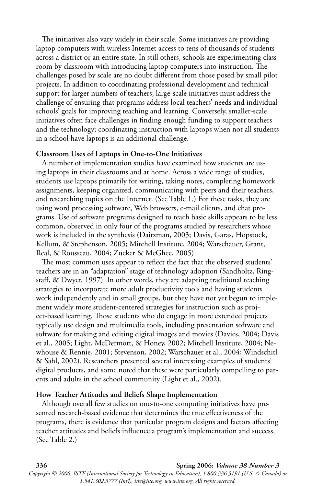The initiatives also vary widely in their scale. Some initiatives are providing laptop computers with wireless Internet access to tens of thousands of students across a district or an entire state. In still others, schools are experimenting classroom by classroom with introducing laptop computers into instruction. The challenges posed by scale are no doubt different from those posed by small pilot projects. In addition to coordinating professional development and technical support for larger numbers of teachers, large-scale initiatives must address the challenge of ensuring that programs address local teachers' needs and individual schools' goals for improving teaching and learning. Conversely, smaller-scale initiatives often face challenges in finding enough funding to support teachers and the technology; coordinating instruction with laptops when not all students in a school have laptops is an additional challenge.

#### **Classroom Uses of Laptops in One-to-One Initiatives**

A number of implementation studies have examined how students are using laptops in their classrooms and at home. Across a wide range of studies, students use laptops primarily for writing, taking notes, completing homework assignments, keeping organized, communicating with peers and their teachers, and researching topics on the Internet. (See Table 1.) For these tasks, they are using word processing software, Web browsers, e-mail clients, and chat programs. Use of software programs designed to teach basic skills appears to be less common, observed in only four of the programs studied by researchers whose work is included in the synthesis (Daitzman, 2003; Davis, Garas, Hopstock, Kellum, & Stephenson, 2005; Mitchell Institute, 2004; Warschauer, Grant, Real, & Rousseau, 2004; Zucker & McGhee, 2005).

The most common uses appear to reflect the fact that the observed students' teachers are in an "adaptation" stage of technology adoption (Sandholtz, Ringstaff, & Dwyer, 1997). In other words, they are adapting traditional teaching strategies to incorporate more adult productivity tools and having students work independently and in small groups, but they have not yet begun to implement widely more student-centered strategies for instruction such as project-based learning. Those students who do engage in more extended projects typically use design and multimedia tools, including presentation software and software for making and editing digital images and movies (Davies, 2004; Davis et al., 2005; Light, McDermott, & Honey, 2002; Mitchell Institute, 2004; Newhouse & Rennie, 2001; Stevenson, 2002; Warschauer et al., 2004; Windschitl & Sahl, 2002). Researchers presented several interesting examples of students' digital products, and some noted that these were particularly compelling to parents and adults in the school community (Light et al., 2002).

## **How Teacher Attitudes and Beliefs Shape Implementation**

Although overall few studies on one-to-one computing initiatives have presented research-based evidence that determines the true effectiveness of the programs, there is evidence that particular program designs and factors affecting teacher attitudes and beliefs influence a program's implementation and success. (See Table 2.)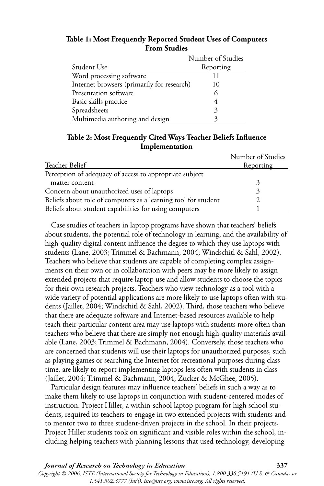|                                            | Number of Studies |
|--------------------------------------------|-------------------|
| Student Use                                | <b>Reporting</b>  |
| Word processing software                   |                   |
| Internet browsers (primarily for research) | 10                |
| Presentation software                      |                   |
| Basic skills practice                      |                   |
| Spreadsheets                               | 3                 |
| Multimedia authoring and design            |                   |

# **Table 1: Most Frequently Reported Student Uses of Computers From Studies**

# **Table 2: Most Frequently Cited Ways Teacher Beliefs Influence Implementation**

|                                                                | Number of Studies |
|----------------------------------------------------------------|-------------------|
| Teacher Belief                                                 | Reporting         |
| Perception of adequacy of access to appropriate subject        |                   |
| matter content                                                 |                   |
| Concern about unauthorized uses of laptops                     |                   |
| Beliefs about role of computers as a learning tool for student |                   |
| Beliefs about student capabilities for using computers         |                   |

Case studies of teachers in laptop programs have shown that teachers' beliefs about students, the potential role of technology in learning, and the availability of high-quality digital content influence the degree to which they use laptops with students (Lane, 2003; Trimmel & Bachmann, 2004; Windschitl & Sahl, 2002). Teachers who believe that students are capable of completing complex assignments on their own or in collaboration with peers may be more likely to assign extended projects that require laptop use and allow students to choose the topics for their own research projects. Teachers who view technology as a tool with a wide variety of potential applications are more likely to use laptops often with students (Jaillet, 2004; Windschitl & Sahl, 2002). Third, those teachers who believe that there are adequate software and Internet-based resources available to help teach their particular content area may use laptops with students more often than teachers who believe that there are simply not enough high-quality materials available (Lane, 2003; Trimmel & Bachmann, 2004). Conversely, those teachers who are concerned that students will use their laptops for unauthorized purposes, such as playing games or searching the Internet for recreational purposes during class time, are likely to report implementing laptops less often with students in class (Jaillet, 2004; Trimmel & Bachmann, 2004; Zucker & McGhee, 2005).

Particular design features may influence teachers' beliefs in such a way as to make them likely to use laptops in conjunction with student-centered modes of instruction. Project Hiller, a within-school laptop program for high school students, required its teachers to engage in two extended projects with students and to mentor two to three student-driven projects in the school. In their projects, Project Hiller students took on significant and visible roles within the school, including helping teachers with planning lessons that used technology, developing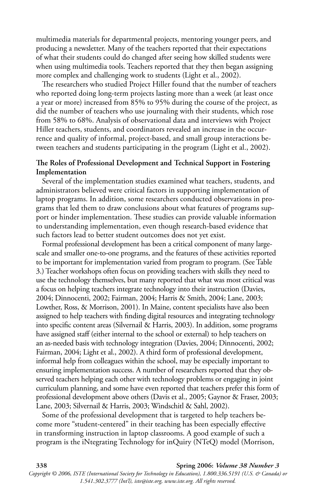multimedia materials for departmental projects, mentoring younger peers, and producing a newsletter. Many of the teachers reported that their expectations of what their students could do changed after seeing how skilled students were when using multimedia tools. Teachers reported that they then began assigning more complex and challenging work to students (Light et al., 2002).

The researchers who studied Project Hiller found that the number of teachers who reported doing long-term projects lasting more than a week (at least once a year or more) increased from 85% to 95% during the course of the project, as did the number of teachers who use journaling with their students, which rose from 58% to 68%. Analysis of observational data and interviews with Project Hiller teachers, students, and coordinators revealed an increase in the occurrence and quality of informal, project-based, and small group interactions between teachers and students participating in the program (Light et al., 2002).

## **The Roles of Professional Development and Technical Support in Fostering Implementation**

Several of the implementation studies examined what teachers, students, and administrators believed were critical factors in supporting implementation of laptop programs. In addition, some researchers conducted observations in programs that led them to draw conclusions about what features of programs support or hinder implementation. These studies can provide valuable information to understanding implementation, even though research-based evidence that such factors lead to better student outcomes does not yet exist.

Formal professional development has been a critical component of many largescale and smaller one-to-one programs, and the features of these activities reported to be important for implementation varied from program to program. (See Table 3.) Teacher workshops often focus on providing teachers with skills they need to use the technology themselves, but many reported that what was most critical was a focus on helping teachers integrate technology into their instruction (Davies, 2004; Dinnocenti, 2002; Fairman, 2004; Harris & Smith, 2004; Lane, 2003; Lowther, Ross, & Morrison, 2001). In Maine, content specialists have also been assigned to help teachers with finding digital resources and integrating technology into specific content areas (Silvernail & Harris, 2003). In addition, some programs have assigned staff (either internal to the school or external) to help teachers on an as-needed basis with technology integration (Davies, 2004; Dinnocenti, 2002; Fairman, 2004; Light et al., 2002). A third form of professional development, informal help from colleagues within the school, may be especially important to ensuring implementation success. A number of researchers reported that they observed teachers helping each other with technology problems or engaging in joint curriculum planning, and some have even reported that teachers prefer this form of professional development above others (Davis et al., 2005; Gaynor & Fraser, 2003; Lane, 2003; Silvernail & Harris, 2003; Windschitl & Sahl, 2002).

Some of the professional development that is targeted to help teachers become more "student-centered" in their teaching has been especially effective in transforming instruction in laptop classrooms. A good example of such a program is the iNtegrating Technology for inQuiry (NTeQ) model (Morrison,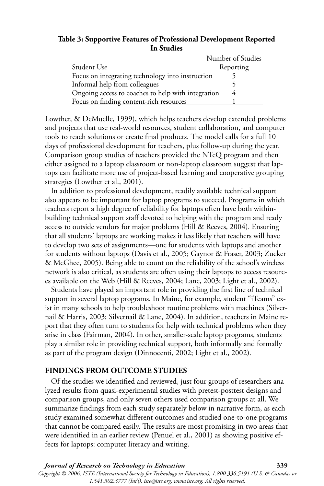# **Table 3: Supportive Features of Professional Development Reported In Studies**

|                                                    | Number of Studies |
|----------------------------------------------------|-------------------|
| Student Use                                        | <b>Reporting</b>  |
| Focus on integrating technology into instruction   |                   |
| Informal help from colleagues                      |                   |
| Ongoing access to coaches to help with integration |                   |
| Focus on finding content-rich resources            |                   |

Lowther, & DeMuelle, 1999), which helps teachers develop extended problems and projects that use real-world resources, student collaboration, and computer tools to reach solutions or create final products. The model calls for a full 10 days of professional development for teachers, plus follow-up during the year. Comparison group studies of teachers provided the NTeQ program and then either assigned to a laptop classroom or non-laptop classroom suggest that laptops can facilitate more use of project-based learning and cooperative grouping strategies (Lowther et al., 2001).

In addition to professional development, readily available technical support also appears to be important for laptop programs to succeed. Programs in which teachers report a high degree of reliability for laptops often have both withinbuilding technical support staff devoted to helping with the program and ready access to outside vendors for major problems (Hill & Reeves, 2004). Ensuring that all students' laptops are working makes it less likely that teachers will have to develop two sets of assignments—one for students with laptops and another for students without laptops (Davis et al., 2005; Gaynor & Fraser, 2003; Zucker & McGhee, 2005). Being able to count on the reliability of the school's wireless network is also critical, as students are often using their laptops to access resources available on the Web (Hill & Reeves, 2004; Lane, 2003; Light et al., 2002).

Students have played an important role in providing the first line of technical support in several laptop programs. In Maine, for example, student "iTeams" exist in many schools to help troubleshoot routine problems with machines (Silvernail & Harris, 2003; Silvernail & Lane, 2004). In addition, teachers in Maine report that they often turn to students for help with technical problems when they arise in class (Fairman, 2004). In other, smaller-scale laptop programs, students play a similar role in providing technical support, both informally and formally as part of the program design (Dinnocenti, 2002; Light et al., 2002).

# **Findings from Outcome Studies**

Of the studies we identified and reviewed, just four groups of researchers analyzed results from quasi-experimental studies with pretest-posttest designs and comparison groups, and only seven others used comparison groups at all. We summarize findings from each study separately below in narrative form, as each study examined somewhat different outcomes and studied one-to-one programs that cannot be compared easily. The results are most promising in two areas that were identified in an earlier review (Penuel et al., 2001) as showing positive effects for laptops: computer literacy and writing.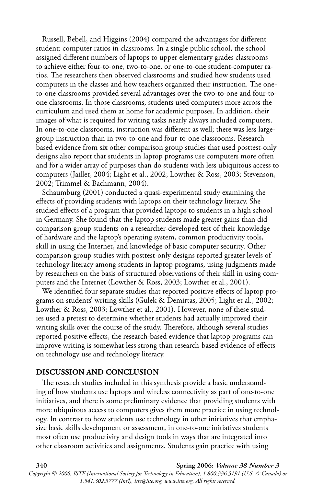Russell, Bebell, and Higgins (2004) compared the advantages for different student: computer ratios in classrooms. In a single public school, the school assigned different numbers of laptops to upper elementary grades classrooms to achieve either four-to-one, two-to-one, or one-to-one student-computer ratios. The researchers then observed classrooms and studied how students used computers in the classes and how teachers organized their instruction. The oneto-one classrooms provided several advantages over the two-to-one and four-toone classrooms. In those classrooms, students used computers more across the curriculum and used them at home for academic purposes. In addition, their images of what is required for writing tasks nearly always included computers. In one-to-one classrooms, instruction was different as well; there was less largegroup instruction than in two-to-one and four-to-one classrooms. Researchbased evidence from six other comparison group studies that used posttest-only designs also report that students in laptop programs use computers more often and for a wider array of purposes than do students with less ubiquitous access to computers (Jaillet, 2004; Light et al., 2002; Lowther & Ross, 2003; Stevenson, 2002; Trimmel & Bachmann, 2004).

Schaumburg (2001) conducted a quasi-experimental study examining the effects of providing students with laptops on their technology literacy. She studied effects of a program that provided laptops to students in a high school in Germany. She found that the laptop students made greater gains than did comparison group students on a researcher-developed test of their knowledge of hardware and the laptop's operating system, common productivity tools, skill in using the Internet, and knowledge of basic computer security. Other comparison group studies with posttest-only designs reported greater levels of technology literacy among students in laptop programs, using judgments made by researchers on the basis of structured observations of their skill in using computers and the Internet (Lowther & Ross, 2003; Lowther et al., 2001).

We identified four separate studies that reported positive effects of laptop programs on students' writing skills (Gulek & Demirtas, 2005; Light et al., 2002; Lowther & Ross, 2003; Lowther et al., 2001). However, none of these studies used a pretest to determine whether students had actually improved their writing skills over the course of the study. Therefore, although several studies reported positive effects, the research-based evidence that laptop programs can improve writing is somewhat less strong than research-based evidence of effects on technology use and technology literacy.

# **Discussion and Conclusion**

The research studies included in this synthesis provide a basic understanding of how students use laptops and wireless connectivity as part of one-to-one initiatives, and there is some preliminary evidence that providing students with more ubiquitous access to computers gives them more practice in using technology. In contrast to how students use technology in other initiatives that emphasize basic skills development or assessment, in one-to-one initiatives students most often use productivity and design tools in ways that are integrated into other classroom activities and assignments. Students gain practice with using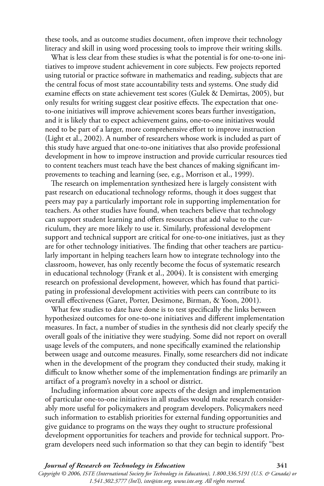these tools, and as outcome studies document, often improve their technology literacy and skill in using word processing tools to improve their writing skills.

What is less clear from these studies is what the potential is for one-to-one initiatives to improve student achievement in core subjects. Few projects reported using tutorial or practice software in mathematics and reading, subjects that are the central focus of most state accountability tests and systems. One study did examine effects on state achievement test scores (Gulek & Demirtas, 2005), but only results for writing suggest clear positive effects. The expectation that oneto-one initiatives will improve achievement scores bears further investigation, and it is likely that to expect achievement gains, one-to-one initiatives would need to be part of a larger, more comprehensive effort to improve instruction (Light et al., 2002). A number of researchers whose work is included as part of this study have argued that one-to-one initiatives that also provide professional development in how to improve instruction and provide curricular resources tied to content teachers must teach have the best chances of making significant improvements to teaching and learning (see, e.g., Morrison et al., 1999).

The research on implementation synthesized here is largely consistent with past research on educational technology reforms, though it does suggest that peers may pay a particularly important role in supporting implementation for teachers. As other studies have found, when teachers believe that technology can support student learning and offers resources that add value to the curriculum, they are more likely to use it. Similarly, professional development support and technical support are critical for one-to-one initiatives, just as they are for other technology initiatives. The finding that other teachers are particularly important in helping teachers learn how to integrate technology into the classroom, however, has only recently become the focus of systematic research in educational technology (Frank et al., 2004). It is consistent with emerging research on professional development, however, which has found that participating in professional development activities with peers can contribute to its overall effectiveness (Garet, Porter, Desimone, Birman, & Yoon, 2001).

What few studies to date have done is to test specifically the links between hypothesized outcomes for one-to-one initiatives and different implementation measures. In fact, a number of studies in the synthesis did not clearly specify the overall goals of the initiative they were studying. Some did not report on overall usage levels of the computers, and none specifically examined the relationship between usage and outcome measures. Finally, some researchers did not indicate when in the development of the program they conducted their study, making it difficult to know whether some of the implementation findings are primarily an artifact of a program's novelty in a school or district.

Including information about core aspects of the design and implementation of particular one-to-one initiatives in all studies would make research considerably more useful for policymakers and program developers. Policymakers need such information to establish priorities for external funding opportunities and give guidance to programs on the ways they ought to structure professional development opportunities for teachers and provide for technical support. Program developers need such information so that they can begin to identify "best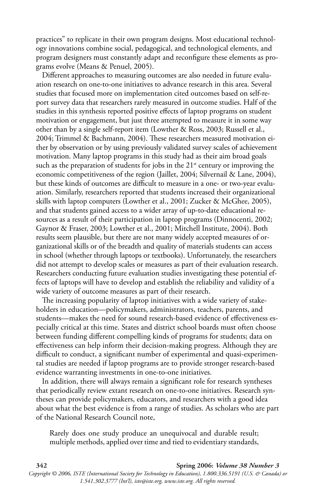practices" to replicate in their own program designs. Most educational technology innovations combine social, pedagogical, and technological elements, and program designers must constantly adapt and reconfigure these elements as programs evolve (Means & Penuel, 2005).

Different approaches to measuring outcomes are also needed in future evaluation research on one-to-one initiatives to advance research in this area. Several studies that focused more on implementation cited outcomes based on self-report survey data that researchers rarely measured in outcome studies. Half of the studies in this synthesis reported positive effects of laptop programs on student motivation or engagement, but just three attempted to measure it in some way other than by a single self-report item (Lowther & Ross, 2003; Russell et al., 2004; Trimmel & Bachmann, 2004). These researchers measured motivation either by observation or by using previously validated survey scales of achievement motivation. Many laptop programs in this study had as their aim broad goals such as the preparation of students for jobs in the  $21<sup>st</sup>$  century or improving the economic competitiveness of the region (Jaillet, 2004; Silvernail & Lane, 2004), but these kinds of outcomes are difficult to measure in a one- or two-year evaluation. Similarly, researchers reported that students increased their organizational skills with laptop computers (Lowther et al., 2001; Zucker & McGhee, 2005), and that students gained access to a wider array of up-to-date educational resources as a result of their participation in laptop programs (Dinnocenti, 2002; Gaynor & Fraser, 2003; Lowther et al., 2001; Mitchell Institute, 2004). Both results seem plausible, but there are not many widely accepted measures of organizational skills or of the breadth and quality of materials students can access in school (whether through laptops or textbooks). Unfortunately, the researchers did not attempt to develop scales or measures as part of their evaluation research. Researchers conducting future evaluation studies investigating these potential effects of laptops will have to develop and establish the reliability and validity of a wide variety of outcome measures as part of their research.

The increasing popularity of laptop initiatives with a wide variety of stakeholders in education—policymakers, administrators, teachers, parents, and students—makes the need for sound research-based evidence of effectiveness especially critical at this time. States and district school boards must often choose between funding different compelling kinds of programs for students; data on effectiveness can help inform their decision-making progress. Although they are difficult to conduct, a significant number of experimental and quasi-experimental studies are needed if laptop programs are to provide stronger research-based evidence warranting investments in one-to-one initiatives.

In addition, there will always remain a significant role for research syntheses that periodically review extant research on one-to-one initiatives. Research syntheses can provide policymakers, educators, and researchers with a good idea about what the best evidence is from a range of studies. As scholars who are part of the National Research Council note,

Rarely does one study produce an unequivocal and durable result; multiple methods, applied over time and tied to evidentiary standards,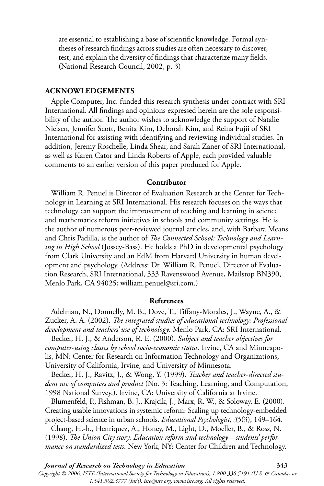are essential to establishing a base of scientific knowledge. Formal syntheses of research findings across studies are often necessary to discover, test, and explain the diversity of findings that characterize many fields. (National Research Council, 2002, p. 3)

## **Acknowledgements**

Apple Computer, Inc. funded this research synthesis under contract with SRI International. All findings and opinions expressed herein are the sole responsibility of the author. The author wishes to acknowledge the support of Natalie Nielsen, Jennifer Scott, Benita Kim, Deborah Kim, and Reina Fujii of SRI International for assisting with identifying and reviewing individual studies. In addition, Jeremy Roschelle, Linda Shear, and Sarah Zaner of SRI International, as well as Karen Cator and Linda Roberts of Apple, each provided valuable comments to an earlier version of this paper produced for Apple.

#### **Contributor**

William R. Penuel is Director of Evaluation Research at the Center for Technology in Learning at SRI International. His research focuses on the ways that technology can support the improvement of teaching and learning in science and mathematics reform initiatives in schools and community settings. He is the author of numerous peer-reviewed journal articles, and, with Barbara Means and Chris Padilla, is the author of *The Connected School: Technology and Learning in High School* (Jossey-Bass). He holds a PhD in developmental psychology from Clark University and an EdM from Harvard University in human development and psychology. (Address: Dr. William R. Penuel, Director of Evaluation Research, SRI International, 333 Ravenswood Avenue, Mailstop BN390, Menlo Park, CA 94025; william.penuel@sri.com.)

### **References**

Adelman, N., Donnelly, M. B., Dove, T., Tiffany-Morales, J., Wayne, A., & Zucker, A. A. (2002). *The integrated studies of educational technology: Professional development and teachers' use of technology*. Menlo Park, CA: SRI International.

Becker, H. J., & Anderson, R. E. (2000). *Subject and teacher objectives for computer-using classes by school socio-economic status.* Irvine, CA and Minneapolis, MN: Center for Research on Information Technology and Organizations, University of California, Irvine, and University of Minnesota.

Becker, H. J., Ravitz, J., & Wong, Y. (1999). *Teacher and teacher-directed student use of computers and product* (No. 3: Teaching, Learning, and Computation, 1998 National Survey.). Irvine, CA: University of California at Irvine.

Blumenfeld, P., Fishman, B. J., Krajcik, J., Marx, R. W., & Soloway, E. (2000). Creating usable innovations in systemic reform: Scaling up technology-embedded project-based science in urban schools. *Educational Psychologist, 35*(3), 149–164.

Chang, H.-h., Henriquez, A., Honey, M., Light, D., Moeller, B., & Ross, N. (1998). *The Union City story: Education reform and technology—students' performance on standardized tests*. New York, NY: Center for Children and Technology.

*Journal of Research on Technology in Education* **343**

*Copyright © 2006, ISTE (International Society for Technology in Education), 1.800.336.5191 (U.S. & Canada) or 1.541.302.3777 (Int'l), iste@iste.org, www.iste.org. All rights reserved.*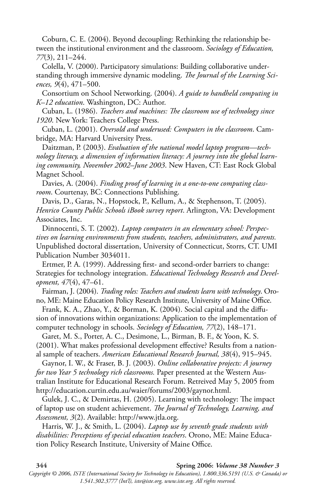Coburn, C. E. (2004). Beyond decoupling: Rethinking the relationship between the institutional environment and the classroom. *Sociology of Education, 77*(3), 211–244.

Colella, V. (2000). Participatory simulations: Building collaborative understanding through immersive dynamic modeling. *The Journal of the Learning Sciences, 9*(4), 471–500.

Consortium on School Networking. (2004). *A guide to handheld computing in K–12 education*. Washington, DC: Author.

Cuban, L. (1986). *Teachers and machines: The classroom use of technology since 1920*. New York: Teachers College Press.

Cuban, L. (2001). *Oversold and underused: Computers in the classroom*. Cambridge, MA: Harvard University Press.

Daitzman, P. (2003). *Evaluation of the national model laptop program—technology literacy, a dimension of information literacy: A journey into the global learning community, November 2002–June 2003*. New Haven, CT: East Rock Global Magnet School.

Davies, A. (2004). *Finding proof of learning in a one-to-one computing classroom*. Courtenay, BC: Connections Publishing.

Davis, D., Garas, N., Hopstock, P., Kellum, A., & Stephenson, T. (2005). *Henrico County Public Schools iBook survey report*. Arlington, VA: Development Associates, Inc.

Dinnocenti, S. T. (2002). *Laptop computers in an elementary school: Perspectives on learning environments from students, teachers, administrators, and parents.* Unpublished doctoral dissertation, University of Connecticut, Storrs, CT. UMI Publication Number 3034011.

Ertmer, P. A. (1999). Addressing first- and second-order barriers to change: Strategies for technology integration. *Educational Technology Research and Development, 47*(4), 47–61.

Fairman, J. (2004). *Trading roles: Teachers and students learn with technology*. Orono, ME: Maine Education Policy Research Institute, University of Maine Office.

Frank, K. A., Zhao, Y., & Borman, K. (2004). Social capital and the diffusion of innovations within organizations: Application to the implementation of computer technology in schools. *Sociology of Education, 77*(2), 148–171.

Garet, M. S., Porter, A. C., Desimone, L., Birman, B. F., & Yoon, K. S. (2001). What makes professional development effective? Results from a national sample of teachers. *American Educational Research Journal, 38*(4), 915–945.

Gaynor, I. W., & Fraser, B. J. (2003). *Online collaborative projects: A journey for two Year 5 technology rich classrooms.* Paper presented at the Western Australian Institute for Educational Research Forum. Retreived May 5, 2005 from http://education.curtin.edu.au/waier/forums/2003/gaynor.html.

Gulek, J. C., & Demirtas, H. (2005). Learning with technology: The impact of laptop use on student achievement. *The Journal of Technology, Learning, and Assessment, 3*(2). Available: http://www.jtla.org.

Harris, W. J., & Smith, L. (2004). *Laptop use by seventh grade students with disabilities: Perceptions of special education teachers*. Orono, ME: Maine Education Policy Research Institute, University of Maine Office.

#### **344 Spring 2006:** *Volume 38 Number 3 Copyright © 2006, ISTE (International Society for Technology in Education), 1.800.336.5191 (U.S. & Canada) or 1.541.302.3777 (Int'l), iste@iste.org, www.iste.org. All rights reserved.*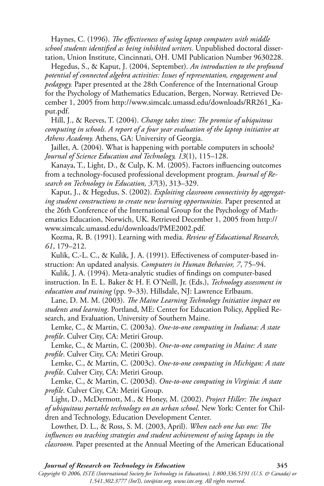Haynes, C. (1996). *The effectiveness of using laptop computers with middle school students identified as being inhibited writers.* Unpublished doctoral dissertation, Union Institute, Cincinnati, OH. UMI Publication Number 9630228.

Hegedus, S., & Kaput, J. (2004, September). *An introduction to the profound potential of connected algebra activities: Issues of representation, engagement and pedagogy.* Paper presented at the 28th Conference of the International Group for the Psychology of Mathematics Education, Bergen, Norway. Retrieved December 1, 2005 from http://www.simcalc.umassd.edu/downloads/RR261\_Kaput.pdf.

Hill, J., & Reeves, T. (2004). *Change takes time: The promise of ubiquitous computing in schools. A report of a four year evaluation of the laptop initiative at Athens Academy.* Athens, GA: University of Georgia.

Jaillet, A. (2004). What is happening with portable computers in schools? *Journal of Science Education and Technology, 13*(1), 115–128.

Kanaya, T., Light, D., & Culp, K. M. (2005). Factors influencing outcomes from a technology-focused professional development program. *Journal of Research on Technology in Education, 37*(3), 313–329.

Kaput, J., & Hegedus, S. (2002). *Exploiting classroom connectivity by aggregating student constructions to create new learning opportunities.* Paper presented at the 26th Conference of the International Group for the Psychology of Mathematics Education, Norwich, UK. Retrieved December 1, 2005 from http:// www.simcalc.umassd.edu/downloads/PME2002.pdf.

Kozma, R. B. (1991). Learning with media. *Review of Educational Research, 61*, 179–212.

Kulik, C.-L. C., & Kulik, J. A. (1991). Effectiveness of computer-based instruction: An updated analysis. *Computers in Human Behavior, 7*, 75–94.

Kulik, J. A. (1994). Meta-analytic studies of findings on computer-based instruction. In E. L. Baker & H. F. O'Neill, Jr. (Eds.), *Technology assessment in education and training* (pp. 9–33). Hillsdale, NJ: Lawrence Erlbaum.

Lane, D. M. M. (2003). *The Maine Learning Technology Initiative impact on students and learning*. Portland, ME: Center for Education Policy, Applied Research, and Evaluation, University of Southern Maine.

Lemke, C., & Martin, C. (2003a). *One-to-one computing in Indiana: A state profile*. Culver City, CA: Metiri Group.

Lemke, C., & Martin, C. (2003b). *One-to-one computing in Maine: A state profile*. Culver City, CA: Metiri Group.

Lemke, C., & Martin, C. (2003c). *One-to-one computing in Michigan: A state profile*. Culver City, CA: Metiri Group.

Lemke, C., & Martin, C. (2003d). *One-to-one computing in Virginia: A state profile*. Culver City, CA: Metiri Group.

Light, D., McDermott, M., & Honey, M. (2002). *Project Hiller: The impact of ubiquitous portable technology on an urban school*. New York: Center for Children and Technology, Education Development Center.

Lowther, D. L., & Ross, S. M. (2003, April). *When each one has one: The influences on teaching strategies and student achievement of using laptops in the classroom.* Paper presented at the Annual Meeting of the American Educational

*Journal of Research on Technology in Education* **345**

*Copyright © 2006, ISTE (International Society for Technology in Education), 1.800.336.5191 (U.S. & Canada) or 1.541.302.3777 (Int'l), iste@iste.org, www.iste.org. All rights reserved.*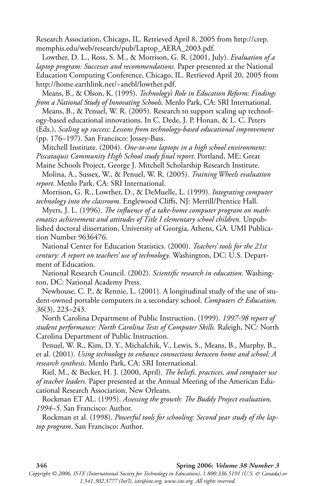Research Association, Chicago, IL. Retrieved April 8, 2005 from http://crep. memphis.edu/web/research/pub/Laptop\_AERA\_2003.pdf.

Lowther, D. L., Ross, S. M., & Morrison, G. R. (2001, July). *Evaluation of a laptop program: Successes and recommendations.* Paper presented at the National Education Computing Conference, Chicago, IL. Retrieved April 20, 2005 from http://home.earthlink.net/~anebl/lowther.pdf.

Means, B., & Olson, K. (1995). *Technology's Role in Education Reform: Findings from a National Study of Innovating Schools*. Menlo Park, CA: SRI International.

Means, B., & Penuel, W. R. (2005). Research to support scaling up technology-based educational innovations. In C. Dede, J. P. Honan, & L. C. Peters (Eds.), *Scaling up success: Lessons from technology-based educational improvement* (pp. 176–197). San Francisco: Jossey-Bass.

Mitchell Institute. (2004). *One-to-one laptops in a high school environment: Piscataquis Community High School study final report*. Portland, ME: Great

Maine Schools Project, George J. Mitchell Scholarship Research Institute.

Molina, A., Sussex, W., & Penuel, W. R. (2005). *Training Wheels evaluation report*. Menlo Park, CA: SRI International.

Morrison, G. R., Lowther, D., & DeMuelle, L. (1999). *Integrating computer technology into the classroom*. Englewood Cliffs, NJ: Merrill/Prentice Hall.

Myers, J. L. (1996). *The influence of a take-home computer program on mathematics achievement and attitudes of Title I elementary school children.* Unpublished doctoral dissertation, University of Georgia, Athens, GA. UMI Publication Number 9636476.

National Center for Education Statistics. (2000). *Teachers' tools for the 21st century: A report on teachers' use of technology*. Washington, DC: U.S. Department of Education.

National Research Council. (2002). *Scientific research in education*. Washington, DC: National Academy Press.

Newhouse, C. P., & Rennie, L. (2001). A longitudinal study of the use of student-owned portable computers in a secondary school. *Computers & Education*, *36*(3), 223–243.

North Carolina Department of Public Instruction. (1999). *1997-98 report of student performance: North Carolina Tests of Computer Skills.* Raleigh, NC: North Carolina Department of Public Instruction.

Penuel, W. R., Kim, D. Y., Michalchik, V., Lewis, S., Means, B., Murphy, B., et al. (2001). *Using technology to enhance connections between home and school: A research synthesis*. Menlo Park, CA: SRI International.

Riel, M., & Becker, H. J. (2000, April). *The beliefs, practices, and computer use of teacher leaders.* Paper presented at the Annual Meeting of the American Educational Research Association, New Orleans.

Rockman ET AL. (1995). *Assessing the growth: The Buddy Project evaluation, 1994–5*. San Francisco: Author.

Rockman et al. (1998). *Powerful tools for schooling: Second year study of the laptop program*. San Francisco: Author.

*Copyright © 2006, ISTE (International Society for Technology in Education), 1.800.336.5191 (U.S. & Canada) or 1.541.302.3777 (Int'l), iste@iste.org, www.iste.org. All rights reserved.*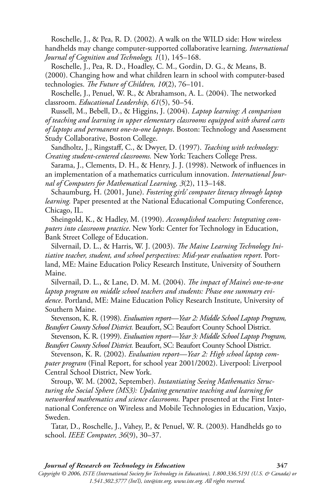Roschelle, J., & Pea, R. D. (2002). A walk on the WILD side: How wireless handhelds may change computer-supported collaborative learning. *International Journal of Cognition and Technology, 1*(1), 145–168.

Roschelle, J., Pea, R. D., Hoadley, C. M., Gordin, D. G., & Means, B. (2000). Changing how and what children learn in school with computer-based technologies. *The Future of Children, 10*(2), 76–101.

Roschelle, J., Penuel, W. R., & Abrahamson, A. L. (2004). The networked classroom. *Educational Leadership, 61*(5), 50–54.

Russell, M., Bebell, D., & Higgins, J. (2004). *Laptop learning: A comparison of teaching and learning in upper elementary classrooms equipped with shared carts of laptops and permanent one-to-one laptops*. Boston: Technology and Assessment Study Collaborative, Boston College.

Sandholtz, J., Ringstaff, C., & Dwyer, D. (1997). *Teaching with technology: Creating student-centered classrooms.* New York: Teachers College Press.

Sarama, J., Clements, D. H., & Henry, J. J. (1998). Network of influences in an implementation of a mathematics curriculum innovation. *International Journal of Computers for Mathematical Learning, 3*(2), 113–148.

Schaumburg, H. (2001, June). *Fostering girls' computer literacy through laptop learning.* Paper presented at the National Educational Computing Conference, Chicago, IL.

Sheingold, K., & Hadley, M. (1990). *Accomplished teachers: Integrating computers into classroom practice*. New York: Center for Technology in Education, Bank Street College of Education.

Silvernail, D. L., & Harris, W. J. (2003). *The Maine Learning Technology Initiative teacher, student, and school perspectives: Mid-year evaluation report*. Portland, ME: Maine Education Policy Research Institute, University of Southern Maine.

Silvernail, D. L., & Lane, D. M. M. (2004). *The impact of Maine's one-to-one laptop program on middle school teachers and students: Phase one summary evidence*. Portland, ME: Maine Education Policy Research Institute, University of Southern Maine.

Stevenson, K. R. (1998). *Evaluation report—Year 2: Middle School Laptop Program, Beaufort County School District.* Beaufort, SC: Beaufort County School District.

Stevenson, K. R. (1999). *Evaluation report—Year 3: Middle School Laptop Program, Beaufort County School District.* Beaufort, SC: Beaufort County School District.

Stevenson, K. R. (2002). *Evaluation report—Year 2: High school laptop computer program* (Final Report, for school year 2001/2002). Liverpool: Liverpool Central School District, New York.

Stroup, W. M. (2002, September). *Instantiating Seeing Mathematics Structuring the Social Sphere (MS3): Updating generative teaching and learning for networked mathematics and science classrooms.* Paper presented at the First International Conference on Wireless and Mobile Technologies in Education, Vaxjo, Sweden.

Tatar, D., Roschelle, J., Vahey, P., & Penuel, W. R. (2003). Handhelds go to school. *IEEE Computer, 36*(9), 30–37.

*Journal of Research on Technology in Education* **347** *Copyright © 2006, ISTE (International Society for Technology in Education), 1.800.336.5191 (U.S. & Canada) or 1.541.302.3777 (Int'l), iste@iste.org, www.iste.org. All rights reserved.*